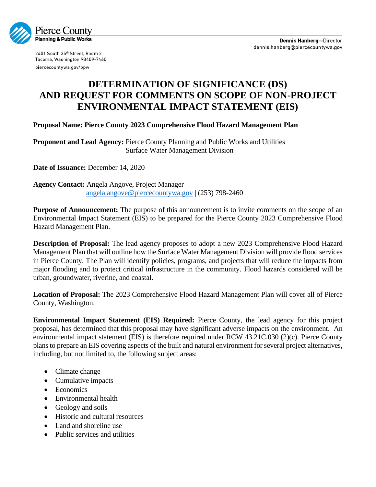

2401 South 35th Street, Room 2 Tacoma, Washington 98409-7460 piercecountywa.gov/ppw

## **DETERMINATION OF SIGNIFICANCE (DS) AND REQUEST FOR COMMENTS ON SCOPE OF NON-PROJECT ENVIRONMENTAL IMPACT STATEMENT (EIS)**

**Proposal Name: Pierce County 2023 Comprehensive Flood Hazard Management Plan**

**Proponent and Lead Agency:** Pierce County Planning and Public Works and Utilities Surface Water Management Division

**Date of Issuance:** December 14, 2020

**Agency Contact:** Angela Angove, Project Manager [angela.angove@piercecountywa.gov](mailto:angela.angove@piercecountywa.gov) | (253) 798-2460

**Purpose of Announcement:** The purpose of this announcement is to invite comments on the scope of an Environmental Impact Statement (EIS) to be prepared for the Pierce County 2023 Comprehensive Flood Hazard Management Plan.

**Description of Proposal:** The lead agency proposes to adopt a new 2023 Comprehensive Flood Hazard Management Plan that will outline how the Surface Water Management Division will provide flood services in Pierce County. The Plan will identify policies, programs, and projects that will reduce the impacts from major flooding and to protect critical infrastructure in the community. Flood hazards considered will be urban, groundwater, riverine, and coastal.

**Location of Proposal:** The 2023 Comprehensive Flood Hazard Management Plan will cover all of Pierce County, Washington.

**Environmental Impact Statement (EIS) Required:** Pierce County, the lead agency for this project proposal, has determined that this proposal may have significant adverse impacts on the environment. An environmental impact statement (EIS) is therefore required under RCW 43.21C.030 (2)(c). Pierce County plans to prepare an EIS covering aspects of the built and natural environment for several project alternatives, including, but not limited to, the following subject areas:

- Climate change
- Cumulative impacts
- Economics
- Environmental health
- Geology and soils
- Historic and cultural resources
- Land and shoreline use
- Public services and utilities